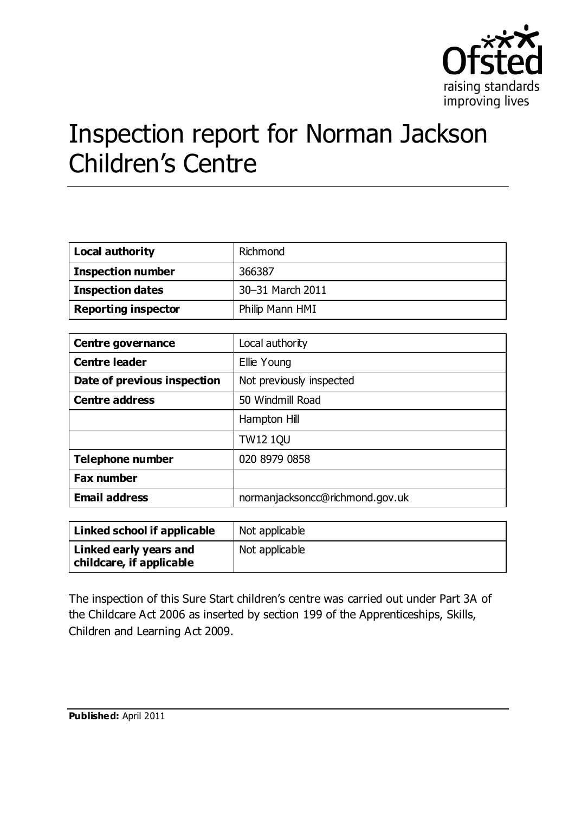

# Inspection report for Norman Jackson Children's Centre

| Local authority            | Richmond         |
|----------------------------|------------------|
| <b>Inspection number</b>   | 366387           |
| <b>Inspection dates</b>    | 30-31 March 2011 |
| <b>Reporting inspector</b> | Philip Mann HMI  |

| <b>Centre governance</b>    | Local authority                 |
|-----------------------------|---------------------------------|
| <b>Centre leader</b>        | Ellie Young                     |
| Date of previous inspection | Not previously inspected        |
| <b>Centre address</b>       | 50 Windmill Road                |
|                             | Hampton Hill                    |
|                             | <b>TW12 1QU</b>                 |
| <b>Telephone number</b>     | 020 8979 0858                   |
| <b>Fax number</b>           |                                 |
| <b>Email address</b>        | normanjacksoncc@richmond.gov.uk |

| Linked school if applicable                        | Not applicable |
|----------------------------------------------------|----------------|
| Linked early years and<br>childcare, if applicable | Not applicable |

The inspection of this Sure Start children's centre was carried out under Part 3A of the Childcare Act 2006 as inserted by section 199 of the Apprenticeships, Skills, Children and Learning Act 2009.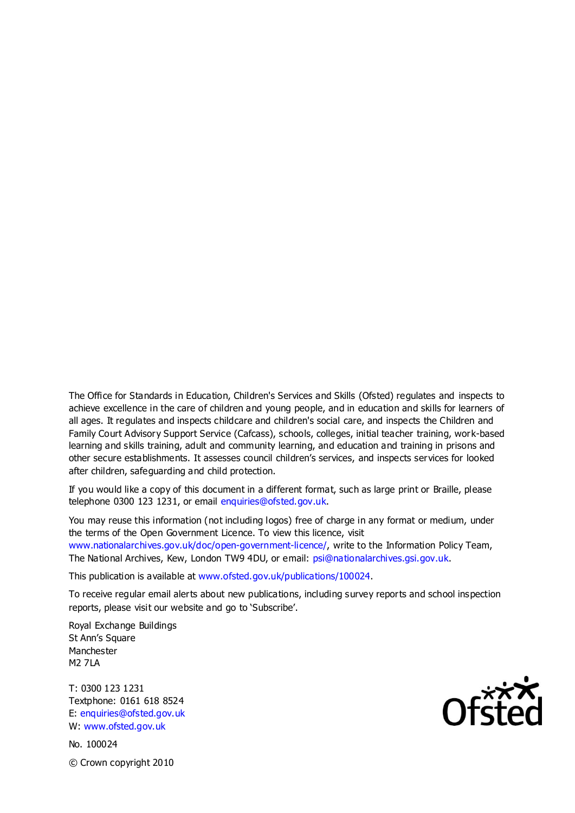The Office for Standards in Education, Children's Services and Skills (Ofsted) regulates and inspects to achieve excellence in the care of children and young people, and in education and skills for learners of all ages. It regulates and inspects childcare and children's social care, and inspects the Children and Family Court Advisory Support Service (Cafcass), schools, colleges, initial teacher training, work-based learning and skills training, adult and community learning, and education and training in prisons and other secure establishments. It assesses council children's services, and inspects services for looked after children, safeguarding and child protection.

If you would like a copy of this document in a different format, such as large print or Braille, please telephone 0300 123 1231, or email enquiries@ofsted.gov.uk.

You may reuse this information (not including logos) free of charge in any format or medium, under the terms of the Open Government Licence. To view this licence, visit www.nationalarchives.gov.uk/doc/open-government-licence/, write to the Information Policy Team, The National Archives, Kew, London TW9 4DU, or email: psi@nationalarchives.gsi.gov.uk.

This publication is available at www.ofsted.gov.uk/publications/100024.

To receive regular email alerts about new publications, including survey reports and school inspection reports, please visit our website and go to 'Subscribe'.

Royal Exchange Buildings St Ann's Square Manchester M2 7LA

T: 0300 123 1231 Textphone: 0161 618 8524 E: enquiries@ofsted.gov.uk W: www.ofsted.gov.uk

No. 100024 © Crown copyright 2010

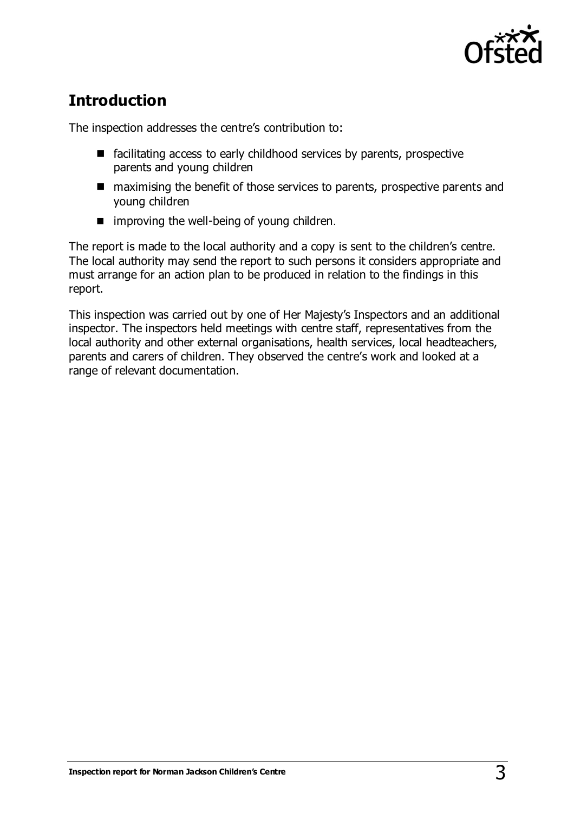

## **Introduction**

The inspection addresses the centre's contribution to:

- $\blacksquare$  facilitating access to early childhood services by parents, prospective parents and young children
- maximising the benefit of those services to parents, prospective parents and young children
- $\blacksquare$  improving the well-being of young children.

The report is made to the local authority and a copy is sent to the children's centre. The local authority may send the report to such persons it considers appropriate and must arrange for an action plan to be produced in relation to the findings in this report.

This inspection was carried out by one of Her Majesty's Inspectors and an additional inspector. The inspectors held meetings with centre staff, representatives from the local authority and other external organisations, health services, local headteachers, parents and carers of children. They observed the centre's work and looked at a range of relevant documentation.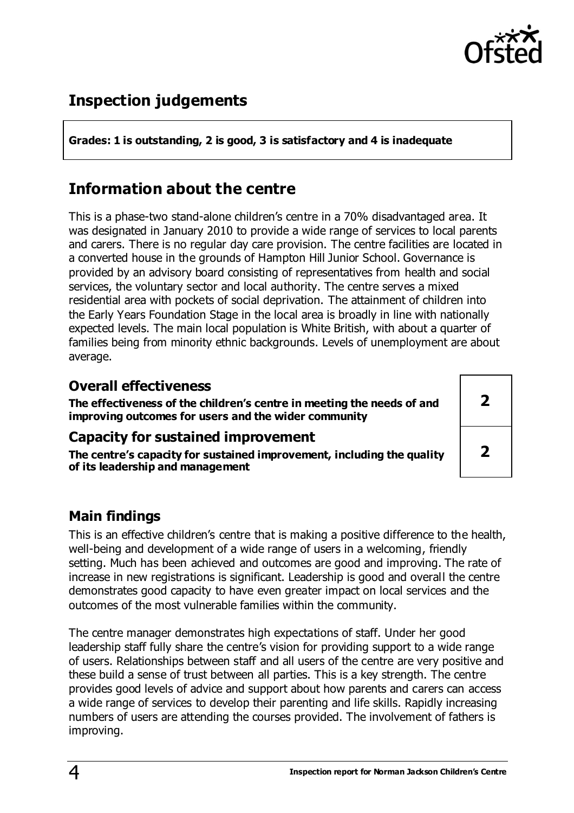

**2**

**2**

## **Inspection judgements**

**Grades: 1 is outstanding, 2 is good, 3 is satisfactory and 4 is inadequate**

## **Information about the centre**

This is a phase-two stand-alone children's centre in a 70% disadvantaged area. It was designated in January 2010 to provide a wide range of services to local parents and carers. There is no regular day care provision. The centre facilities are located in a converted house in the grounds of Hampton Hill Junior School. Governance is provided by an advisory board consisting of representatives from health and social services, the voluntary sector and local authority. The centre serves a mixed residential area with pockets of social deprivation. The attainment of children into the Early Years Foundation Stage in the local area is broadly in line with nationally expected levels. The main local population is White British, with about a quarter of families being from minority ethnic backgrounds. Levels of unemployment are about average.

#### **Overall effectiveness**

**The effectiveness of the children's centre in meeting the needs of and improving outcomes for users and the wider community**

#### **Capacity for sustained improvement**

**The centre's capacity for sustained improvement, including the quality of its leadership and management**

#### **Main findings**

This is an effective children's centre that is making a positive difference to the health, well-being and development of a wide range of users in a welcoming, friendly setting. Much has been achieved and outcomes are good and improving. The rate of increase in new registrations is significant. Leadership is good and overall the centre demonstrates good capacity to have even greater impact on local services and the outcomes of the most vulnerable families within the community.

The centre manager demonstrates high expectations of staff. Under her good leadership staff fully share the centre's vision for providing support to a wide range of users. Relationships between staff and all users of the centre are very positive and these build a sense of trust between all parties. This is a key strength. The centre provides good levels of advice and support about how parents and carers can access a wide range of services to develop their parenting and life skills. Rapidly increasing numbers of users are attending the courses provided. The involvement of fathers is improving.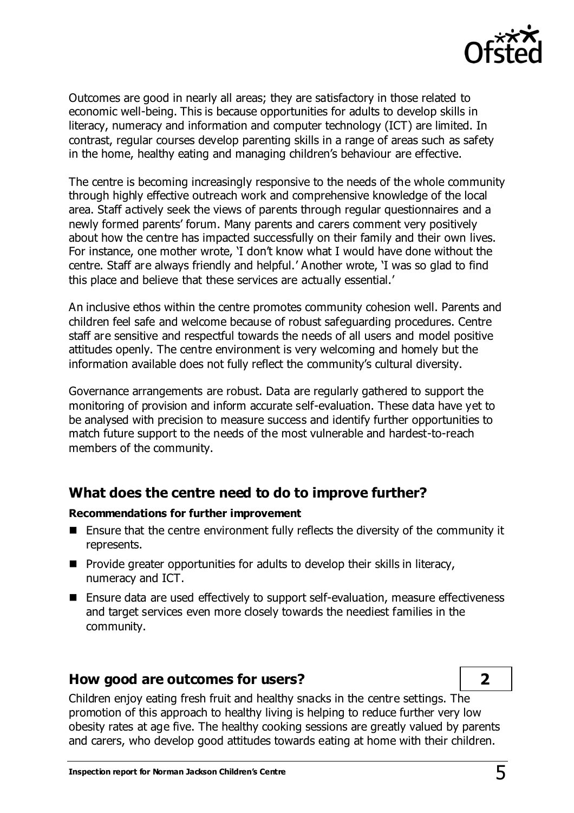

Outcomes are good in nearly all areas; they are satisfactory in those related to economic well-being. This is because opportunities for adults to develop skills in literacy, numeracy and information and computer technology (ICT) are limited. In contrast, regular courses develop parenting skills in a range of areas such as safety in the home, healthy eating and managing children's behaviour are effective.

The centre is becoming increasingly responsive to the needs of the whole community through highly effective outreach work and comprehensive knowledge of the local area. Staff actively seek the views of parents through regular questionnaires and a newly formed parents' forum. Many parents and carers comment very positively about how the centre has impacted successfully on their family and their own lives. For instance, one mother wrote, 'I don't know what I would have done without the centre. Staff are always friendly and helpful.' Another wrote, 'I was so glad to find this place and believe that these services are actually essential.'

An inclusive ethos within the centre promotes community cohesion well. Parents and children feel safe and welcome because of robust safeguarding procedures. Centre staff are sensitive and respectful towards the needs of all users and model positive attitudes openly. The centre environment is very welcoming and homely but the information available does not fully reflect the community's cultural diversity.

Governance arrangements are robust. Data are regularly gathered to support the monitoring of provision and inform accurate self-evaluation. These data have yet to be analysed with precision to measure success and identify further opportunities to match future support to the needs of the most vulnerable and hardest-to-reach members of the community.

#### **What does the centre need to do to improve further?**

#### **Recommendations for further improvement**

- $\blacksquare$  Ensure that the centre environment fully reflects the diversity of the community it represents.
- $\blacksquare$  Provide greater opportunities for adults to develop their skills in literacy, numeracy and ICT.
- Ensure data are used effectively to support self-evaluation, measure effectiveness and target services even more closely towards the neediest families in the community.

#### **How good are outcomes for users? 2**

Children enjoy eating fresh fruit and healthy snacks in the centre settings. The promotion of this approach to healthy living is helping to reduce further very low obesity rates at age five. The healthy cooking sessions are greatly valued by parents and carers, who develop good attitudes towards eating at home with their children.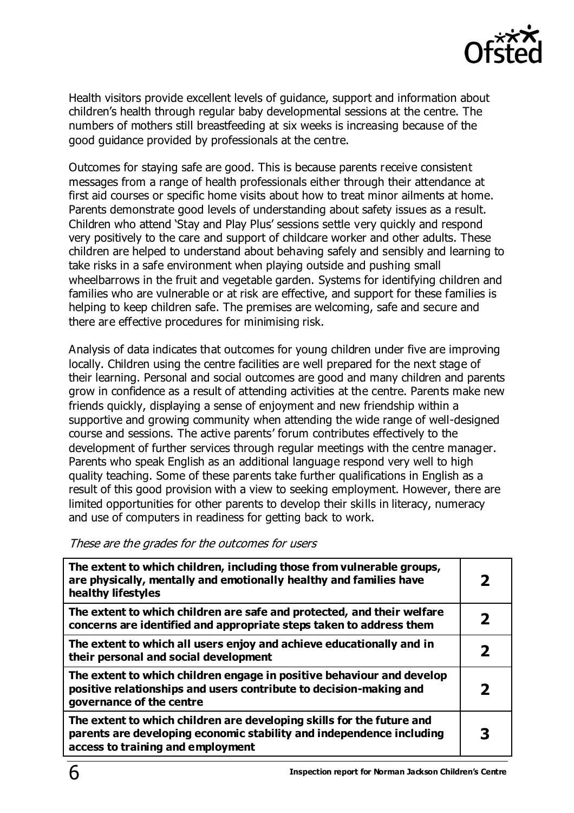

Health visitors provide excellent levels of guidance, support and information about children's health through regular baby developmental sessions at the centre. The numbers of mothers still breastfeeding at six weeks is increasing because of the good guidance provided by professionals at the centre.

Outcomes for staying safe are good. This is because parents receive consistent messages from a range of health professionals either through their attendance at first aid courses or specific home visits about how to treat minor ailments at home. Parents demonstrate good levels of understanding about safety issues as a result. Children who attend 'Stay and Play Plus' sessions settle very quickly and respond very positively to the care and support of childcare worker and other adults. These children are helped to understand about behaving safely and sensibly and learning to take risks in a safe environment when playing outside and pushing small wheelbarrows in the fruit and vegetable garden. Systems for identifying children and families who are vulnerable or at risk are effective, and support for these families is helping to keep children safe. The premises are welcoming, safe and secure and there are effective procedures for minimising risk.

Analysis of data indicates that outcomes for young children under five are improving locally. Children using the centre facilities are well prepared for the next stage of their learning. Personal and social outcomes are good and many children and parents grow in confidence as a result of attending activities at the centre. Parents make new friends quickly, displaying a sense of enjoyment and new friendship within a supportive and growing community when attending the wide range of well-designed course and sessions. The active parents' forum contributes effectively to the development of further services through regular meetings with the centre manager. Parents who speak English as an additional language respond very well to high quality teaching. Some of these parents take further qualifications in English as a result of this good provision with a view to seeking employment. However, there are limited opportunities for other parents to develop their skills in literacy, numeracy and use of computers in readiness for getting back to work.

These are the grades for the outcomes for users

| The extent to which children, including those from vulnerable groups,<br>are physically, mentally and emotionally healthy and families have<br>healthy lifestyles                  |   |
|------------------------------------------------------------------------------------------------------------------------------------------------------------------------------------|---|
| The extent to which children are safe and protected, and their welfare<br>concerns are identified and appropriate steps taken to address them                                      | 2 |
| The extent to which all users enjoy and achieve educationally and in<br>their personal and social development                                                                      |   |
| The extent to which children engage in positive behaviour and develop<br>positive relationships and users contribute to decision-making and<br>governance of the centre            |   |
| The extent to which children are developing skills for the future and<br>parents are developing economic stability and independence including<br>access to training and employment |   |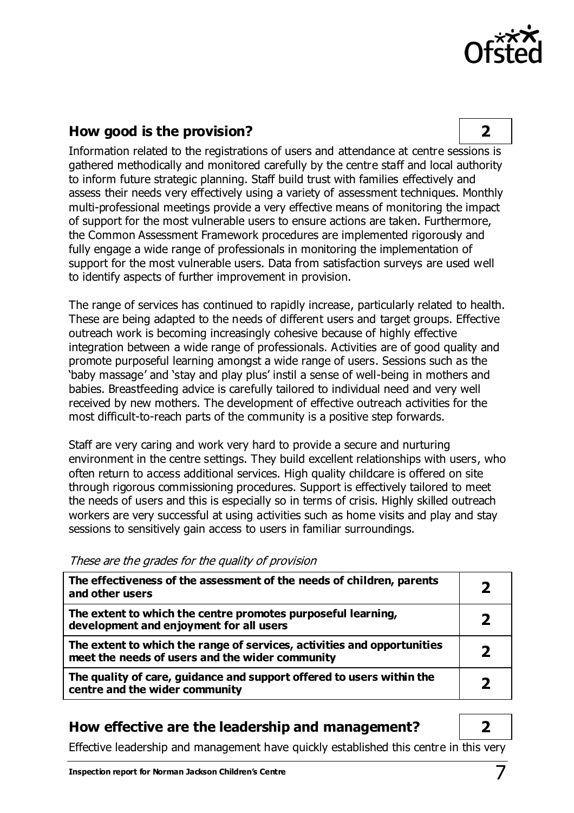

### **How good is the provision? 2**

Information related to the registrations of users and attendance at centre sessions is gathered methodically and monitored carefully by the centre staff and local authority to inform future strategic planning. Staff build trust with families effectively and assess their needs very effectively using a variety of assessment techniques. Monthly multi-professional meetings provide a very effective means of monitoring the impact of support for the most vulnerable users to ensure actions are taken. Furthermore, the Common Assessment Framework procedures are implemented rigorously and fully engage a wide range of professionals in monitoring the implementation of support for the most vulnerable users. Data from satisfaction surveys are used well to identify aspects of further improvement in provision.

The range of services has continued to rapidly increase, particularly related to health. These are being adapted to the needs of different users and target groups. Effective outreach work is becoming increasingly cohesive because of highly effective integration between a wide range of professionals. Activities are of good quality and promote purposeful learning amongst a wide range of users. Sessions such as the 'baby massage' and 'stay and play plus' instil a sense of well-being in mothers and babies. Breastfeeding advice is carefully tailored to individual need and very well received by new mothers. The development of effective outreach activities for the most difficult-to-reach parts of the community is a positive step forwards.

Staff are very caring and work very hard to provide a secure and nurturing environment in the centre settings. They build excellent relationships with users, who often return to access additional services. High quality childcare is offered on site through rigorous commissioning procedures. Support is effectively tailored to meet the needs of users and this is especially so in terms of crisis. Highly skilled outreach workers are very successful at using activities such as home visits and play and stay sessions to sensitively gain access to users in familiar surroundings.

| The effectiveness of the assessment of the needs of children, parents<br>and other users                                   |  |
|----------------------------------------------------------------------------------------------------------------------------|--|
| The extent to which the centre promotes purposeful learning,<br>development and enjoyment for all users                    |  |
| The extent to which the range of services, activities and opportunities<br>meet the needs of users and the wider community |  |
| The quality of care, guidance and support offered to users within the<br>centre and the wider community                    |  |

These are the grades for the quality of provision

#### **How effective are the leadership and management? 2**

Effective leadership and management have quickly established this centre in this very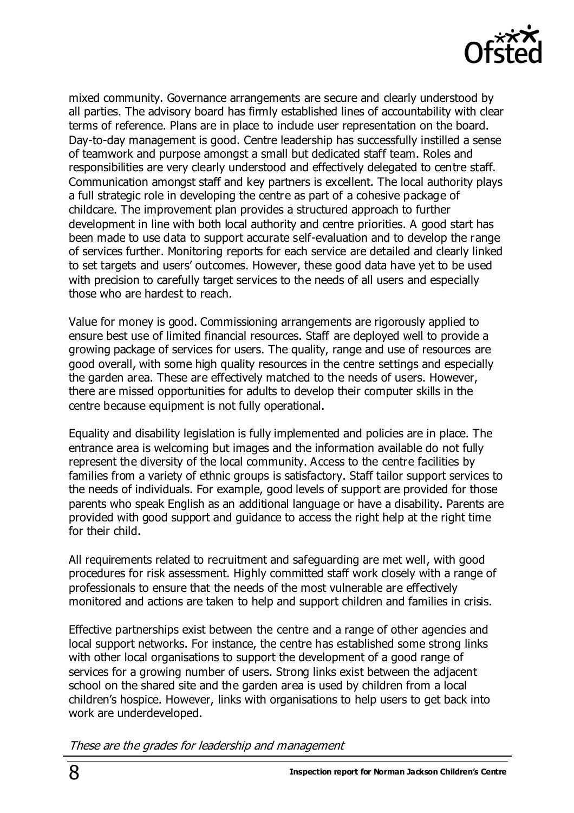

mixed community. Governance arrangements are secure and clearly understood by all parties. The advisory board has firmly established lines of accountability with clear terms of reference. Plans are in place to include user representation on the board. Day-to-day management is good. Centre leadership has successfully instilled a sense of teamwork and purpose amongst a small but dedicated staff team. Roles and responsibilities are very clearly understood and effectively delegated to centre staff. Communication amongst staff and key partners is excellent. The local authority plays a full strategic role in developing the centre as part of a cohesive package of childcare. The improvement plan provides a structured approach to further development in line with both local authority and centre priorities. A good start has been made to use data to support accurate self-evaluation and to develop the range of services further. Monitoring reports for each service are detailed and clearly linked to set targets and users' outcomes. However, these good data have yet to be used with precision to carefully target services to the needs of all users and especially those who are hardest to reach.

Value for money is good. Commissioning arrangements are rigorously applied to ensure best use of limited financial resources. Staff are deployed well to provide a growing package of services for users. The quality, range and use of resources are good overall, with some high quality resources in the centre settings and especially the garden area. These are effectively matched to the needs of users. However, there are missed opportunities for adults to develop their computer skills in the centre because equipment is not fully operational.

Equality and disability legislation is fully implemented and policies are in place. The entrance area is welcoming but images and the information available do not fully represent the diversity of the local community. Access to the centre facilities by families from a variety of ethnic groups is satisfactory. Staff tailor support services to the needs of individuals. For example, good levels of support are provided for those parents who speak English as an additional language or have a disability. Parents are provided with good support and guidance to access the right help at the right time for their child.

All requirements related to recruitment and safeguarding are met well, with good procedures for risk assessment. Highly committed staff work closely with a range of professionals to ensure that the needs of the most vulnerable are effectively monitored and actions are taken to help and support children and families in crisis.

Effective partnerships exist between the centre and a range of other agencies and local support networks. For instance, the centre has established some strong links with other local organisations to support the development of a good range of services for a growing number of users. Strong links exist between the adjacent school on the shared site and the garden area is used by children from a local children's hospice. However, links with organisations to help users to get back into work are underdeveloped.

These are the grades for leadership and management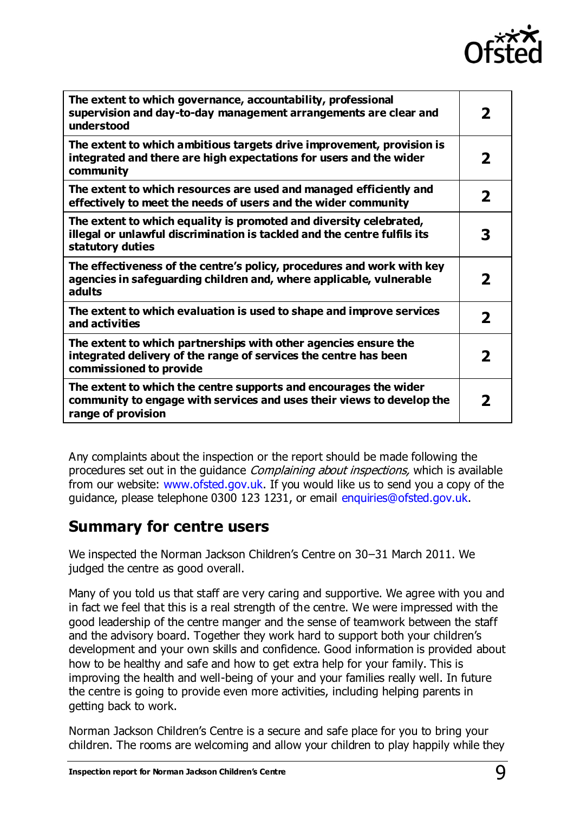

| The extent to which governance, accountability, professional<br>supervision and day-to-day management arrangements are clear and<br>understood                     | $\mathbf 2$  |
|--------------------------------------------------------------------------------------------------------------------------------------------------------------------|--------------|
| The extent to which ambitious targets drive improvement, provision is<br>integrated and there are high expectations for users and the wider<br>community           | $\mathbf{z}$ |
| The extent to which resources are used and managed efficiently and<br>effectively to meet the needs of users and the wider community                               | $\mathbf 2$  |
| The extent to which equality is promoted and diversity celebrated,<br>illegal or unlawful discrimination is tackled and the centre fulfils its<br>statutory duties | 3            |
| The effectiveness of the centre's policy, procedures and work with key<br>agencies in safeguarding children and, where applicable, vulnerable<br>adults            | $\mathbf 2$  |
| The extent to which evaluation is used to shape and improve services<br>and activities                                                                             | $\mathbf 2$  |
| The extent to which partnerships with other agencies ensure the<br>integrated delivery of the range of services the centre has been<br>commissioned to provide     | 2            |
| The extent to which the centre supports and encourages the wider<br>community to engage with services and uses their views to develop the<br>range of provision    | 7            |

Any complaints about the inspection or the report should be made following the procedures set out in the quidance *Complaining about inspections*, which is available from our website: [www.ofsted.gov.uk.](http://www.ofsted.gov.uk/) If you would like us to send you a copy of the guidance, please telephone 0300 123 1231, or email [enquiries@ofsted.gov.uk](mailto:enquiries@ofsted.gov.uk).

## **Summary for centre users**

We inspected the Norman Jackson Children's Centre on 30–31 March 2011. We judged the centre as good overall.

Many of you told us that staff are very caring and supportive. We agree with you and in fact we feel that this is a real strength of the centre. We were impressed with the good leadership of the centre manger and the sense of teamwork between the staff and the advisory board. Together they work hard to support both your children's development and your own skills and confidence. Good information is provided about how to be healthy and safe and how to get extra help for your family. This is improving the health and well-being of your and your families really well. In future the centre is going to provide even more activities, including helping parents in getting back to work.

Norman Jackson Children's Centre is a secure and safe place for you to bring your children. The rooms are welcoming and allow your children to play happily while they